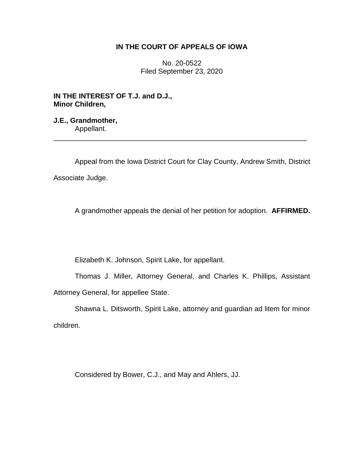# **IN THE COURT OF APPEALS OF IOWA**

No. 20-0522 Filed September 23, 2020

**IN THE INTEREST OF T.J. and D.J., Minor Children,**

**J.E., Grandmother,** Appellant.

Appeal from the Iowa District Court for Clay County, Andrew Smith, District Associate Judge.

\_\_\_\_\_\_\_\_\_\_\_\_\_\_\_\_\_\_\_\_\_\_\_\_\_\_\_\_\_\_\_\_\_\_\_\_\_\_\_\_\_\_\_\_\_\_\_\_\_\_\_\_\_\_\_\_\_\_\_\_\_\_\_\_

A grandmother appeals the denial of her petition for adoption. **AFFIRMED.**

Elizabeth K. Johnson, Spirit Lake, for appellant.

Thomas J. Miller, Attorney General, and Charles K. Phillips, Assistant Attorney General, for appellee State.

Shawna L. Ditsworth, Spirit Lake, attorney and guardian ad litem for minor children.

Considered by Bower, C.J., and May and Ahlers, JJ.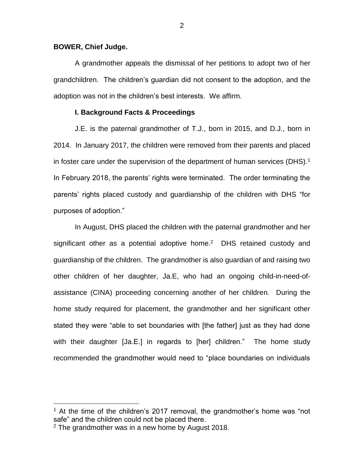## **BOWER, Chief Judge.**

A grandmother appeals the dismissal of her petitions to adopt two of her grandchildren. The children's guardian did not consent to the adoption, and the adoption was not in the children's best interests. We affirm.

# **I. Background Facts & Proceedings**

J.E. is the paternal grandmother of T.J., born in 2015, and D.J., born in 2014. In January 2017, the children were removed from their parents and placed in foster care under the supervision of the department of human services (DHS).<sup>1</sup> In February 2018, the parents' rights were terminated. The order terminating the parents' rights placed custody and guardianship of the children with DHS "for purposes of adoption."

In August, DHS placed the children with the paternal grandmother and her significant other as a potential adoptive home.<sup>2</sup> DHS retained custody and guardianship of the children. The grandmother is also guardian of and raising two other children of her daughter, Ja.E, who had an ongoing child-in-need-ofassistance (CINA) proceeding concerning another of her children. During the home study required for placement, the grandmother and her significant other stated they were "able to set boundaries with [the father] just as they had done with their daughter [Ja.E.] in regards to [her] children." The home study recommended the grandmother would need to "place boundaries on individuals

<sup>&</sup>lt;sup>1</sup> At the time of the children's 2017 removal, the grandmother's home was "not safe" and the children could not be placed there.

 $2$  The grandmother was in a new home by August 2018.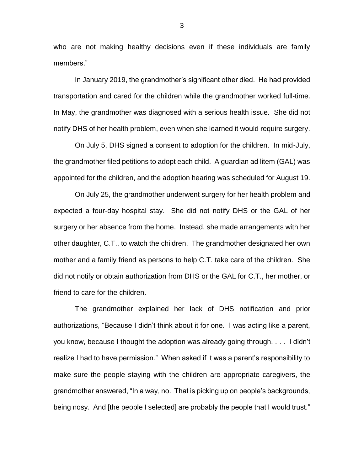who are not making healthy decisions even if these individuals are family members."

In January 2019, the grandmother's significant other died. He had provided transportation and cared for the children while the grandmother worked full-time. In May, the grandmother was diagnosed with a serious health issue. She did not notify DHS of her health problem, even when she learned it would require surgery.

On July 5, DHS signed a consent to adoption for the children. In mid-July, the grandmother filed petitions to adopt each child. A guardian ad litem (GAL) was appointed for the children, and the adoption hearing was scheduled for August 19.

On July 25, the grandmother underwent surgery for her health problem and expected a four-day hospital stay. She did not notify DHS or the GAL of her surgery or her absence from the home. Instead, she made arrangements with her other daughter, C.T., to watch the children. The grandmother designated her own mother and a family friend as persons to help C.T. take care of the children. She did not notify or obtain authorization from DHS or the GAL for C.T., her mother, or friend to care for the children.

The grandmother explained her lack of DHS notification and prior authorizations, "Because I didn't think about it for one. I was acting like a parent, you know, because I thought the adoption was already going through. . . . I didn't realize I had to have permission." When asked if it was a parent's responsibility to make sure the people staying with the children are appropriate caregivers, the grandmother answered, "In a way, no. That is picking up on people's backgrounds, being nosy. And [the people I selected] are probably the people that I would trust."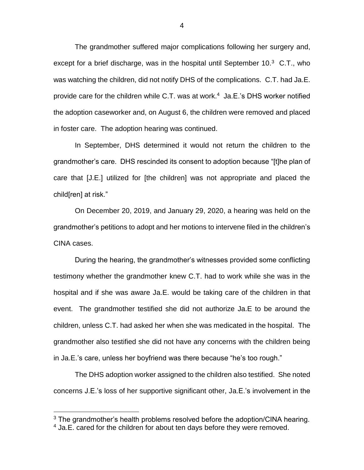The grandmother suffered major complications following her surgery and, except for a brief discharge, was in the hospital until September 10.<sup>3</sup> C.T., who was watching the children, did not notify DHS of the complications. C.T. had Ja.E. provide care for the children while C.T. was at work.<sup>4</sup> Ja.E.'s DHS worker notified the adoption caseworker and, on August 6, the children were removed and placed in foster care. The adoption hearing was continued.

In September, DHS determined it would not return the children to the grandmother's care. DHS rescinded its consent to adoption because "[t]he plan of care that [J.E.] utilized for [the children] was not appropriate and placed the child[ren] at risk."

On December 20, 2019, and January 29, 2020, a hearing was held on the grandmother's petitions to adopt and her motions to intervene filed in the children's CINA cases.

During the hearing, the grandmother's witnesses provided some conflicting testimony whether the grandmother knew C.T. had to work while she was in the hospital and if she was aware Ja.E. would be taking care of the children in that event. The grandmother testified she did not authorize Ja.E to be around the children, unless C.T. had asked her when she was medicated in the hospital. The grandmother also testified she did not have any concerns with the children being in Ja.E.'s care, unless her boyfriend was there because "he's too rough."

The DHS adoption worker assigned to the children also testified. She noted concerns J.E.'s loss of her supportive significant other, Ja.E.'s involvement in the

 $3$  The grandmother's health problems resolved before the adoption/CINA hearing.

<sup>&</sup>lt;sup>4</sup> Ja.E. cared for the children for about ten days before they were removed.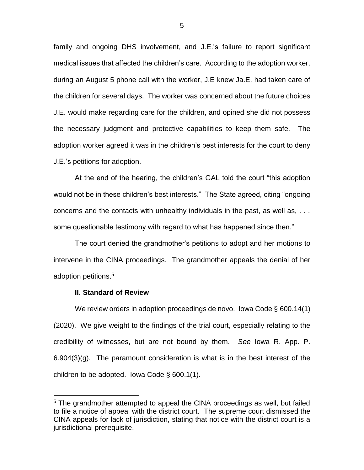family and ongoing DHS involvement, and J.E.'s failure to report significant medical issues that affected the children's care. According to the adoption worker, during an August 5 phone call with the worker, J.E knew Ja.E. had taken care of the children for several days. The worker was concerned about the future choices J.E. would make regarding care for the children, and opined she did not possess the necessary judgment and protective capabilities to keep them safe. The adoption worker agreed it was in the children's best interests for the court to deny J.E.'s petitions for adoption.

At the end of the hearing, the children's GAL told the court "this adoption would not be in these children's best interests." The State agreed, citing "ongoing concerns and the contacts with unhealthy individuals in the past, as well as, . . . some questionable testimony with regard to what has happened since then."

The court denied the grandmother's petitions to adopt and her motions to intervene in the CINA proceedings. The grandmother appeals the denial of her adoption petitions. 5

# **II. Standard of Review**

 $\overline{a}$ 

We review orders in adoption proceedings de novo. Iowa Code § 600.14(1) (2020). We give weight to the findings of the trial court, especially relating to the credibility of witnesses, but are not bound by them. *See* Iowa R. App. P. 6.904(3)(g). The paramount consideration is what is in the best interest of the children to be adopted. Iowa Code § 600.1(1).

<sup>&</sup>lt;sup>5</sup> The grandmother attempted to appeal the CINA proceedings as well, but failed to file a notice of appeal with the district court. The supreme court dismissed the CINA appeals for lack of jurisdiction, stating that notice with the district court is a jurisdictional prerequisite.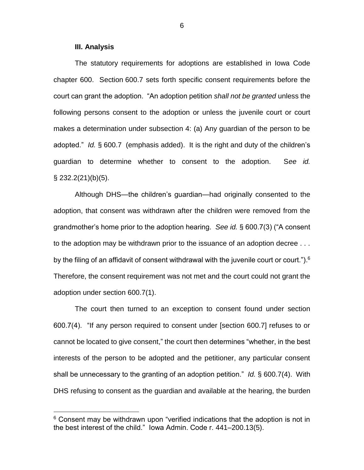### **III. Analysis**

 $\overline{a}$ 

The statutory requirements for adoptions are established in Iowa Code chapter 600. Section 600.7 sets forth specific consent requirements before the court can grant the adoption. "An adoption petition *shall not be granted* unless the following persons consent to the adoption or unless the juvenile court or court makes a determination under subsection 4: (a) Any guardian of the person to be adopted." *Id.* § 600.7 (emphasis added). It is the right and duty of the children's guardian to determine whether to consent to the adoption. S*ee id.*  $\S$  232.2(21)(b)(5).

Although DHS—the children's guardian—had originally consented to the adoption, that consent was withdrawn after the children were removed from the grandmother's home prior to the adoption hearing. *See id.* § 600.7(3) ("A consent to the adoption may be withdrawn prior to the issuance of an adoption decree . . . by the filing of an affidavit of consent withdrawal with the juvenile court or court."). $^6$ Therefore, the consent requirement was not met and the court could not grant the adoption under section 600.7(1).

The court then turned to an exception to consent found under section 600.7(4). "If any person required to consent under [section 600.7] refuses to or cannot be located to give consent," the court then determines "whether, in the best interests of the person to be adopted and the petitioner, any particular consent shall be unnecessary to the granting of an adoption petition." *Id.* § 600.7(4). With DHS refusing to consent as the guardian and available at the hearing, the burden

 $6$  Consent may be withdrawn upon "verified indications that the adoption is not in the best interest of the child." Iowa Admin. Code r. 441–200.13(5).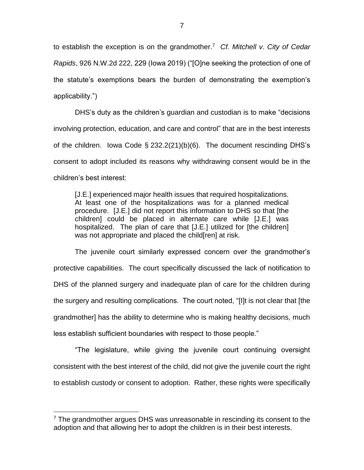to establish the exception is on the grandmother. 7 *Cf. Mitchell v. City of Cedar Rapids*, 926 N.W.2d 222, 229 (Iowa 2019) ("[O]ne seeking the protection of one of the statute's exemptions bears the burden of demonstrating the exemption's applicability.")

DHS's duty as the children's guardian and custodian is to make "decisions involving protection, education, and care and control" that are in the best interests of the children. Iowa Code § 232.2(21)(b)(6). The document rescinding DHS's consent to adopt included its reasons why withdrawing consent would be in the children's best interest:

[J.E.] experienced major health issues that required hospitalizations. At least one of the hospitalizations was for a planned medical procedure. [J.E.] did not report this information to DHS so that [the children] could be placed in alternate care while [J.E.] was hospitalized. The plan of care that [J.E.] utilized for [the children] was not appropriate and placed the child[ren] at risk.

The juvenile court similarly expressed concern over the grandmother's protective capabilities. The court specifically discussed the lack of notification to DHS of the planned surgery and inadequate plan of care for the children during the surgery and resulting complications. The court noted, "[I]t is not clear that [the grandmother] has the ability to determine who is making healthy decisions, much less establish sufficient boundaries with respect to those people."

"The legislature, while giving the juvenile court continuing oversight consistent with the best interest of the child, did not give the juvenile court the right to establish custody or consent to adoption. Rather, these rights were specifically

 $7$  The grandmother argues DHS was unreasonable in rescinding its consent to the adoption and that allowing her to adopt the children is in their best interests.